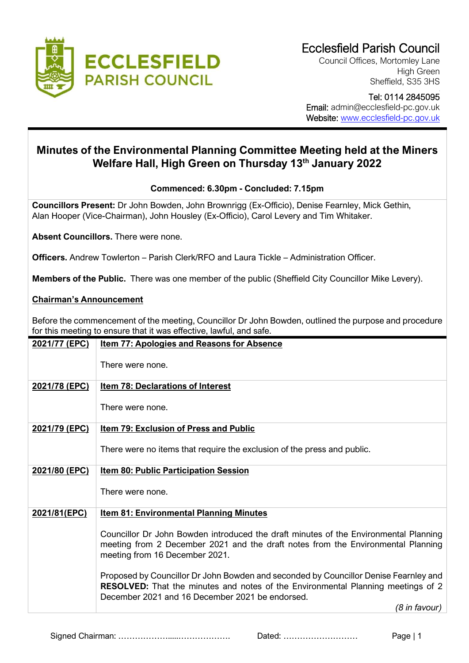

Council Offices, Mortomley Lane High Green Sheffield, S35 3HS

 Tel: 0114 2845095 Email: admin@ecclesfield-pc.gov.uk Website: [www.ecclesfield-pc.gov.uk](http://www.ecclesfield-pc.gov.uk/)

# **Minutes of the Environmental Planning Committee Meeting held at the Miners Welfare Hall, High Green on Thursday 13th January 2022**

## **Commenced: 6.30pm - Concluded: 7.15pm**

**Councillors Present:** Dr John Bowden, John Brownrigg (Ex-Officio), Denise Fearnley, Mick Gethin, Alan Hooper (Vice-Chairman), John Housley (Ex-Officio), Carol Levery and Tim Whitaker.

**Absent Councillors.** There were none.

**Officers.** Andrew Towlerton – Parish Clerk/RFO and Laura Tickle – Administration Officer.

**Members of the Public.** There was one member of the public (Sheffield City Councillor Mike Levery).

### **Chairman's Announcement**

Before the commencement of the meeting, Councillor Dr John Bowden, outlined the purpose and procedure for this meeting to ensure that it was effective, lawful, and safe.

| 2021/77 (EPC) | <b>Item 77: Apologies and Reasons for Absence</b>                                                                                                                                                                                  |
|---------------|------------------------------------------------------------------------------------------------------------------------------------------------------------------------------------------------------------------------------------|
|               | There were none.                                                                                                                                                                                                                   |
| 2021/78 (EPC) | <b>Item 78: Declarations of Interest</b>                                                                                                                                                                                           |
|               | There were none.                                                                                                                                                                                                                   |
| 2021/79 (EPC) | <b>Item 79: Exclusion of Press and Public</b>                                                                                                                                                                                      |
|               | There were no items that require the exclusion of the press and public.                                                                                                                                                            |
| 2021/80 (EPC) | Item 80: Public Participation Session                                                                                                                                                                                              |
|               | There were none.                                                                                                                                                                                                                   |
| 2021/81(EPC)  | <b>Item 81: Environmental Planning Minutes</b>                                                                                                                                                                                     |
|               | Councillor Dr John Bowden introduced the draft minutes of the Environmental Planning<br>meeting from 2 December 2021 and the draft notes from the Environmental Planning<br>meeting from 16 December 2021.                         |
|               | Proposed by Councillor Dr John Bowden and seconded by Councillor Denise Fearnley and<br><b>RESOLVED:</b> That the minutes and notes of the Environmental Planning meetings of 2<br>December 2021 and 16 December 2021 be endorsed. |
|               | (8 in favour)                                                                                                                                                                                                                      |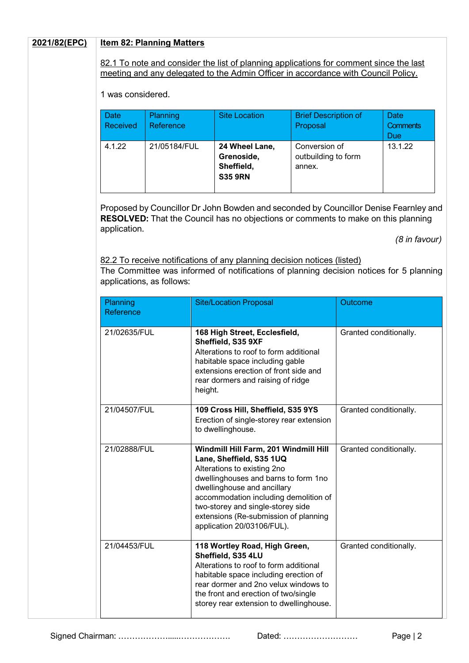#### **2021/82(EPC) Item 82: Planning Matters**

82.1 To note and consider the list of planning applications for comment since the last meeting and any delegated to the Admin Officer in accordance with Council Policy.

1 was considered.

| <b>Date</b><br><b>Received</b> | <b>Planning</b><br>Reference | <b>Site Location</b>                                         | <b>Brief Description of</b><br>Proposal        | Date<br><b>Comments</b><br><b>Due</b> |
|--------------------------------|------------------------------|--------------------------------------------------------------|------------------------------------------------|---------------------------------------|
| 4.1.22                         | 21/05184/FUL                 | 24 Wheel Lane,<br>Grenoside,<br>Sheffield,<br><b>S35 9RN</b> | Conversion of<br>outbuilding to form<br>annex. | 13.1.22                               |

Proposed by Councillor Dr John Bowden and seconded by Councillor Denise Fearnley and **RESOLVED:** That the Council has no objections or comments to make on this planning application.

 *(8 in favour)*

82.2 To receive notifications of any planning decision notices (listed) The Committee was informed of notifications of planning decision notices for 5 planning applications, as follows:

| Planning<br>Reference | <b>Site/Location Proposal</b>                                                                                                                                                                                                                                                                                                | Outcome                |  |  |
|-----------------------|------------------------------------------------------------------------------------------------------------------------------------------------------------------------------------------------------------------------------------------------------------------------------------------------------------------------------|------------------------|--|--|
| 21/02635/FUL          | 168 High Street, Ecclesfield,<br>Sheffield, S35 9XF<br>Alterations to roof to form additional<br>habitable space including gable<br>extensions erection of front side and<br>rear dormers and raising of ridge<br>height.                                                                                                    | Granted conditionally. |  |  |
| 21/04507/FUL          | 109 Cross Hill, Sheffield, S35 9YS<br>Erection of single-storey rear extension<br>to dwellinghouse.                                                                                                                                                                                                                          | Granted conditionally. |  |  |
| 21/02888/FUL          | Windmill Hill Farm, 201 Windmill Hill<br>Lane, Sheffield, S35 1UQ<br>Alterations to existing 2no<br>dwellinghouses and barns to form 1no<br>dwellinghouse and ancillary<br>accommodation including demolition of<br>two-storey and single-storey side<br>extensions (Re-submission of planning<br>application 20/03106/FUL). | Granted conditionally. |  |  |
| 21/04453/FUL          | 118 Wortley Road, High Green,<br>Sheffield, S35 4LU<br>Alterations to roof to form additional<br>habitable space including erection of<br>rear dormer and 2no velux windows to<br>the front and erection of two/single<br>storey rear extension to dwellinghouse.                                                            | Granted conditionally. |  |  |

Signed Chairman: ……………….....………………. Dated: ……………………… Page | 2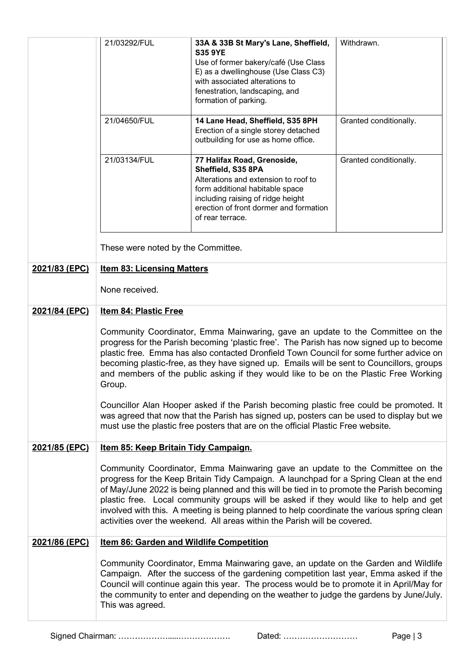|               | 21/03292/FUL<br>21/04650/FUL<br>21/03134/FUL                                                                                                                                                                                                                                                                                                                                                                                                                                                                                             | 33A & 33B St Mary's Lane, Sheffield,<br><b>S35 9YE</b><br>Use of former bakery/café (Use Class<br>E) as a dwellinghouse (Use Class C3)<br>with associated alterations to<br>fenestration, landscaping, and<br>formation of parking.<br>14 Lane Head, Sheffield, S35 8PH<br>Erection of a single storey detached<br>outbuilding for use as home office.<br>77 Halifax Road, Grenoside,<br>Sheffield, S35 8PA<br>Alterations and extension to roof to<br>form additional habitable space<br>including raising of ridge height<br>erection of front dormer and formation<br>of rear terrace. | Withdrawn.<br>Granted conditionally.<br>Granted conditionally. |  |  |  |  |  |  |
|---------------|------------------------------------------------------------------------------------------------------------------------------------------------------------------------------------------------------------------------------------------------------------------------------------------------------------------------------------------------------------------------------------------------------------------------------------------------------------------------------------------------------------------------------------------|-------------------------------------------------------------------------------------------------------------------------------------------------------------------------------------------------------------------------------------------------------------------------------------------------------------------------------------------------------------------------------------------------------------------------------------------------------------------------------------------------------------------------------------------------------------------------------------------|----------------------------------------------------------------|--|--|--|--|--|--|
|               | These were noted by the Committee.                                                                                                                                                                                                                                                                                                                                                                                                                                                                                                       |                                                                                                                                                                                                                                                                                                                                                                                                                                                                                                                                                                                           |                                                                |  |  |  |  |  |  |
| 2021/83 (EPC) | <b>Item 83: Licensing Matters</b>                                                                                                                                                                                                                                                                                                                                                                                                                                                                                                        |                                                                                                                                                                                                                                                                                                                                                                                                                                                                                                                                                                                           |                                                                |  |  |  |  |  |  |
|               | None received.                                                                                                                                                                                                                                                                                                                                                                                                                                                                                                                           |                                                                                                                                                                                                                                                                                                                                                                                                                                                                                                                                                                                           |                                                                |  |  |  |  |  |  |
| 2021/84 (EPC) | <b>Item 84: Plastic Free</b>                                                                                                                                                                                                                                                                                                                                                                                                                                                                                                             |                                                                                                                                                                                                                                                                                                                                                                                                                                                                                                                                                                                           |                                                                |  |  |  |  |  |  |
|               | Community Coordinator, Emma Mainwaring, gave an update to the Committee on the<br>progress for the Parish becoming 'plastic free'. The Parish has now signed up to become<br>plastic free. Emma has also contacted Dronfield Town Council for some further advice on<br>becoming plastic-free, as they have signed up. Emails will be sent to Councillors, groups<br>and members of the public asking if they would like to be on the Plastic Free Working<br>Group.                                                                     |                                                                                                                                                                                                                                                                                                                                                                                                                                                                                                                                                                                           |                                                                |  |  |  |  |  |  |
|               | Councillor Alan Hooper asked if the Parish becoming plastic free could be promoted. It<br>was agreed that now that the Parish has signed up, posters can be used to display but we<br>must use the plastic free posters that are on the official Plastic Free website.                                                                                                                                                                                                                                                                   |                                                                                                                                                                                                                                                                                                                                                                                                                                                                                                                                                                                           |                                                                |  |  |  |  |  |  |
| 2021/85 (EPC) | Item 85: Keep Britain Tidy Campaign.                                                                                                                                                                                                                                                                                                                                                                                                                                                                                                     |                                                                                                                                                                                                                                                                                                                                                                                                                                                                                                                                                                                           |                                                                |  |  |  |  |  |  |
|               | Community Coordinator, Emma Mainwaring gave an update to the Committee on the<br>progress for the Keep Britain Tidy Campaign. A launchpad for a Spring Clean at the end<br>of May/June 2022 is being planned and this will be tied in to promote the Parish becoming<br>plastic free. Local community groups will be asked if they would like to help and get<br>involved with this. A meeting is being planned to help coordinate the various spring clean<br>activities over the weekend. All areas within the Parish will be covered. |                                                                                                                                                                                                                                                                                                                                                                                                                                                                                                                                                                                           |                                                                |  |  |  |  |  |  |
| 2021/86 (EPC) | <b>Item 86: Garden and Wildlife Competition</b>                                                                                                                                                                                                                                                                                                                                                                                                                                                                                          |                                                                                                                                                                                                                                                                                                                                                                                                                                                                                                                                                                                           |                                                                |  |  |  |  |  |  |
|               | Community Coordinator, Emma Mainwaring gave, an update on the Garden and Wildlife<br>Campaign. After the success of the gardening competition last year, Emma asked if the<br>Council will continue again this year. The process would be to promote it in April/May for<br>the community to enter and depending on the weather to judge the gardens by June/July.<br>This was agreed.                                                                                                                                                   |                                                                                                                                                                                                                                                                                                                                                                                                                                                                                                                                                                                           |                                                                |  |  |  |  |  |  |
|               |                                                                                                                                                                                                                                                                                                                                                                                                                                                                                                                                          |                                                                                                                                                                                                                                                                                                                                                                                                                                                                                                                                                                                           |                                                                |  |  |  |  |  |  |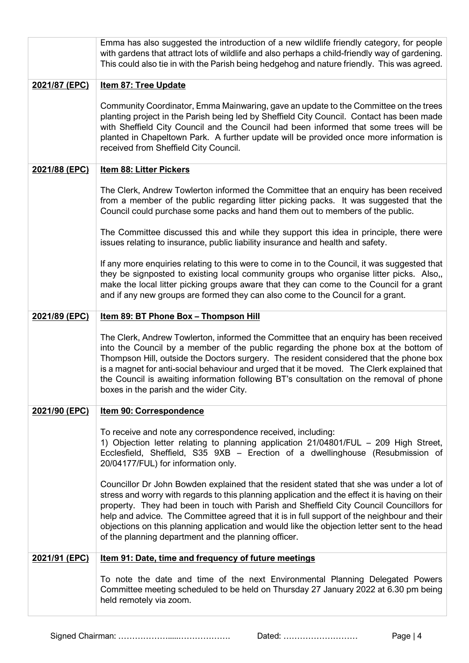|               | Emma has also suggested the introduction of a new wildlife friendly category, for people<br>with gardens that attract lots of wildlife and also perhaps a child-friendly way of gardening.<br>This could also tie in with the Parish being hedgehog and nature friendly. This was agreed.                                                                                                                                                                                                                                                     |  |  |  |  |  |  |  |  |
|---------------|-----------------------------------------------------------------------------------------------------------------------------------------------------------------------------------------------------------------------------------------------------------------------------------------------------------------------------------------------------------------------------------------------------------------------------------------------------------------------------------------------------------------------------------------------|--|--|--|--|--|--|--|--|
| 2021/87 (EPC) | <b>Item 87: Tree Update</b>                                                                                                                                                                                                                                                                                                                                                                                                                                                                                                                   |  |  |  |  |  |  |  |  |
|               | Community Coordinator, Emma Mainwaring, gave an update to the Committee on the trees<br>planting project in the Parish being led by Sheffield City Council. Contact has been made<br>with Sheffield City Council and the Council had been informed that some trees will be<br>planted in Chapeltown Park. A further update will be provided once more information is<br>received from Sheffield City Council.                                                                                                                                 |  |  |  |  |  |  |  |  |
| 2021/88 (EPC) | Item 88: Litter Pickers                                                                                                                                                                                                                                                                                                                                                                                                                                                                                                                       |  |  |  |  |  |  |  |  |
|               | The Clerk, Andrew Towlerton informed the Committee that an enquiry has been received<br>from a member of the public regarding litter picking packs. It was suggested that the<br>Council could purchase some packs and hand them out to members of the public.                                                                                                                                                                                                                                                                                |  |  |  |  |  |  |  |  |
|               | The Committee discussed this and while they support this idea in principle, there were<br>issues relating to insurance, public liability insurance and health and safety.                                                                                                                                                                                                                                                                                                                                                                     |  |  |  |  |  |  |  |  |
|               | If any more enquiries relating to this were to come in to the Council, it was suggested that<br>they be signposted to existing local community groups who organise litter picks. Also,,<br>make the local litter picking groups aware that they can come to the Council for a grant<br>and if any new groups are formed they can also come to the Council for a grant.                                                                                                                                                                        |  |  |  |  |  |  |  |  |
| 2021/89 (EPC) | Item 89: BT Phone Box - Thompson Hill                                                                                                                                                                                                                                                                                                                                                                                                                                                                                                         |  |  |  |  |  |  |  |  |
|               | The Clerk, Andrew Towlerton, informed the Committee that an enquiry has been received<br>into the Council by a member of the public regarding the phone box at the bottom of<br>Thompson Hill, outside the Doctors surgery. The resident considered that the phone box<br>is a magnet for anti-social behaviour and urged that it be moved. The Clerk explained that<br>the Council is awaiting information following BT's consultation on the removal of phone<br>boxes in the parish and the wider City.                                    |  |  |  |  |  |  |  |  |
| 2021/90 (EPC) | <b>Item 90: Correspondence</b>                                                                                                                                                                                                                                                                                                                                                                                                                                                                                                                |  |  |  |  |  |  |  |  |
|               | To receive and note any correspondence received, including:<br>1) Objection letter relating to planning application 21/04801/FUL - 209 High Street,<br>Ecclesfield, Sheffield, S35 9XB - Erection of a dwellinghouse (Resubmission of<br>20/04177/FUL) for information only.                                                                                                                                                                                                                                                                  |  |  |  |  |  |  |  |  |
|               | Councillor Dr John Bowden explained that the resident stated that she was under a lot of<br>stress and worry with regards to this planning application and the effect it is having on their<br>property. They had been in touch with Parish and Sheffield City Council Councillors for<br>help and advice. The Committee agreed that it is in full support of the neighbour and their<br>objections on this planning application and would like the objection letter sent to the head<br>of the planning department and the planning officer. |  |  |  |  |  |  |  |  |
| 2021/91 (EPC) | Item 91: Date, time and frequency of future meetings                                                                                                                                                                                                                                                                                                                                                                                                                                                                                          |  |  |  |  |  |  |  |  |
|               | To note the date and time of the next Environmental Planning Delegated Powers<br>Committee meeting scheduled to be held on Thursday 27 January 2022 at 6.30 pm being<br>held remotely via zoom.                                                                                                                                                                                                                                                                                                                                               |  |  |  |  |  |  |  |  |